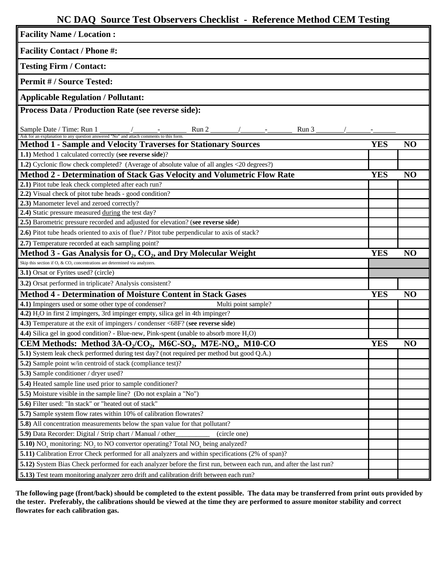## **NC DAQ Source Test Observers Checklist - Reference Method CEM Testing**

| <b>Facility Name / Location:</b>                                                                                                                                  |            |                |
|-------------------------------------------------------------------------------------------------------------------------------------------------------------------|------------|----------------|
| <b>Facility Contact / Phone #:</b>                                                                                                                                |            |                |
| <b>Testing Firm / Contact:</b>                                                                                                                                    |            |                |
| <b>Permit #/Source Tested:</b>                                                                                                                                    |            |                |
| <b>Applicable Regulation / Pollutant:</b>                                                                                                                         |            |                |
| Process Data / Production Rate (see reverse side):                                                                                                                |            |                |
| Sample Date / Time: Run 1<br>Run 2<br>Run 3<br><b>Sample Date / Time: Run 1</b> $\frac{1}{\sqrt{1.5}}$ / $\frac{1}{\sqrt{1.5}}$ and attach comments to this form. |            |                |
| <b>Method 1 - Sample and Velocity Traverses for Stationary Sources</b>                                                                                            | <b>YES</b> | NO             |
| 1.1) Method 1 calculated correctly (see reverse side)?                                                                                                            |            |                |
| 1.2) Cyclonic flow check completed? (Average of absolute value of all angles <20 degrees?)                                                                        |            |                |
| <b>Method 2 - Determination of Stack Gas Velocity and Volumetric Flow Rate</b>                                                                                    | <b>YES</b> | N <sub>O</sub> |
| 2.1) Pitot tube leak check completed after each run?                                                                                                              |            |                |
| 2.2) Visual check of pitot tube heads - good condition?                                                                                                           |            |                |
| 2.3) Manometer level and zeroed correctly?                                                                                                                        |            |                |
| 2.4) Static pressure measured during the test day?                                                                                                                |            |                |
| 2.5) Barometric pressure recorded and adjusted for elevation? (see reverse side)                                                                                  |            |                |
| 2.6) Pitot tube heads oriented to axis of flue? / Pitot tube perpendicular to axis of stack?                                                                      |            |                |
| 2.7) Temperature recorded at each sampling point?                                                                                                                 |            |                |
| Method 3 - Gas Analysis for $O_2$ , $CO_2$ , and Dry Molecular Weight                                                                                             | <b>YES</b> | NO             |
| Skip this section if $O_2$ & $CO_2$ concentrations are determined via analyzers.                                                                                  |            |                |
| 3.1) Orsat or Fyrites used? (circle)                                                                                                                              |            |                |
| 3.2) Orsat performed in triplicate? Analysis consistent?                                                                                                          |            |                |
| <b>Method 4 - Determination of Moisture Content in Stack Gases</b>                                                                                                | <b>YES</b> | NO             |
| 4.1) Impingers used or some other type of condenser?<br>Multi point sample?                                                                                       |            |                |
| 4.2) H <sub>2</sub> O in first 2 impingers, 3rd impinger empty, silica gel in 4th impinger?                                                                       |            |                |
| 4.3) Temperature at the exit of impingers / condenser <68F? (see reverse side)                                                                                    |            |                |
| 4.4) Silica gel in good condition? - Blue-new, Pink-spent (unable to absorb more H <sub>2</sub> O)                                                                |            |                |
| CEM Methods: Method $3A-O2/CO2$ , M6C-SO <sub>2</sub> , M7E-NO <sub>x</sub> , M10-CO                                                                              | <b>YES</b> | NO             |
| 5.1) System leak check performed during test day? (not required per method but good Q.A.)                                                                         |            |                |
| 5.2) Sample point w/in centroid of stack (compliance test)?                                                                                                       |            |                |
| 5.3) Sample conditioner / dryer used?<br>5.4) Heated sample line used prior to sample conditioner?                                                                |            |                |
| 5.5) Moisture visible in the sample line? (Do not explain a "No")                                                                                                 |            |                |
| 5.6) Filter used: "In stack" or "heated out of stack"                                                                                                             |            |                |
| 5.7) Sample system flow rates within 10% of calibration flowrates?                                                                                                |            |                |
| 5.8) All concentration measurements below the span value for that pollutant?                                                                                      |            |                |
| 5.9) Data Recorder: Digital / Strip chart / Manual / other<br>(circle one)                                                                                        |            |                |
| 5.10) NO <sub>x</sub> monitoring: NO <sub>2</sub> to NO convertor operating? Total NO <sub>x</sub> being analyzed?                                                |            |                |
| 5.11) Calibration Error Check performed for all analyzers and within specifications (2% of span)?                                                                 |            |                |
| 5.12) System Bias Check performed for each analyzer before the first run, between each run, and after the last run?                                               |            |                |
| 5.13) Test team monitoring analyzer zero drift and calibration drift between each run?                                                                            |            |                |
|                                                                                                                                                                   |            |                |

**The following page (front/back) should be completed to the extent possible. The data may be transferred from print outs provided by the tester. Preferably, the calibrations should be viewed at the time they are performed to assure monitor stability and correct flowrates for each calibration gas.**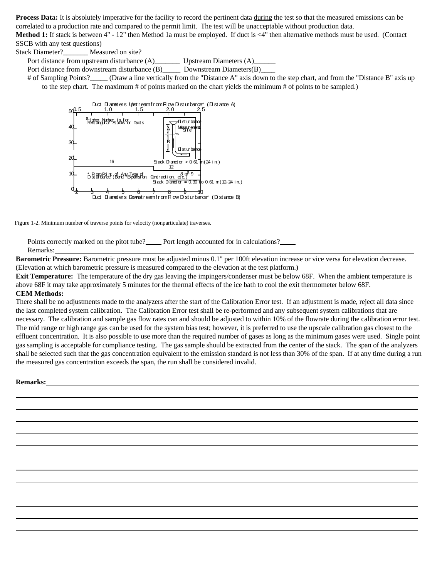**Process Data:** It is absolutely imperative for the facility to record the pertinent data during the test so that the measured emissions can be correlated to a production rate and compared to the permit limit. The test will be unacceptable without production data.

**Method 1:** If stack is between 4" - 12" then Method 1a must be employed. If duct is <4" then alternative methods must be used. (Contact SSCB with any test questions)

Stack Diameter? Measured on site?

Port distance from upstream disturbance (A)\_\_\_\_\_\_\_\_\_\_ Upstream Diameters (A)\_\_\_\_\_\_\_\_\_

Port distance from downstream disturbance  $(B)$  Downstream Diameters $(B)$ 

# of Sampling Points? (Draw a line vertically from the "Distance A" axis down to the step chart, and from the "Distance B" axis up to the step chart. The maximum # of points marked on the chart yields the minimum # of points to be sampled.)



Figure 1-2. Minimum number of traverse points for velocity (nonparticulate) traverses.

Points correctly marked on the pitot tube? Port length accounted for in calculations? Remarks:

**Barometric Pressure:** Barometric pressure must be adjusted minus 0.1" per 100ft elevation increase or vice versa for elevation decrease. (Elevation at which barometric pressure is measured compared to the elevation at the test platform.)

**Exit Temperature:** The temperature of the dry gas leaving the impingers/condenser must be below 68F. When the ambient temperature is above 68F it may take approximately 5 minutes for the thermal effects of the ice bath to cool the exit thermometer below 68F.

## **CEM Methods:**

There shall be no adjustments made to the analyzers after the start of the Calibration Error test. If an adjustment is made, reject all data since the last completed system calibration. The Calibration Error test shall be re-performed and any subsequent system calibrations that are necessary. The calibration and sample gas flow rates can and should be adjusted to within 10% of the flowrate during the calibration error test. The mid range or high range gas can be used for the system bias test; however, it is preferred to use the upscale calibration gas closest to the effluent concentration. It is also possible to use more than the required number of gases as long as the minimum gases were used. Single point gas sampling is acceptable for compliance testing. The gas sample should be extracted from the center of the stack. The span of the analyzers shall be selected such that the gas concentration equivalent to the emission standard is not less than 30% of the span. If at any time during a run the measured gas concentration exceeds the span, the run shall be considered invalid.

## **Remarks:**

 $\overline{a}$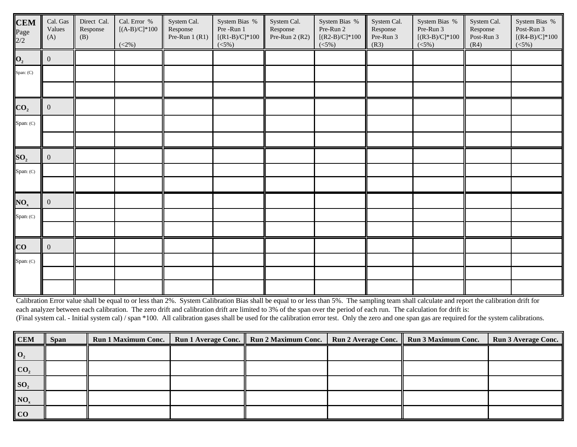| <b>CEM</b><br>Page<br>2/2 | Cal. Gas<br>Values<br>(A) | Direct Cal.<br>Response<br>(B) | Cal. Error $\, \%$<br>$[(A-B)/C]*100$<br>$(<2%$ ) | System Cal.<br>Response<br>Pre-Run $1(R1)$ | System Bias %<br>Pre-Run 1<br>$[(R1-B)/C]^*100$<br>$(<5\%)$ | System Cal.<br>Response<br>Pre-Run 2 $(R2)$ | System Bias %<br>Pre-Run 2<br>$[(R2-B)/C]*100$<br>(<5%) | System Cal.<br>Response<br>Pre-Run 3<br>(R3) | System Bias %<br>Pre-Run 3<br>$[(R3-B)/C]*100$<br>$(<5\%)$ | System Cal.<br>Response<br>Post-Run 3<br>(R4) | System Bias %<br>Post-Run $3\,$<br>$[(R4-B)/C]*100$<br>$(<5\%)$ |
|---------------------------|---------------------------|--------------------------------|---------------------------------------------------|--------------------------------------------|-------------------------------------------------------------|---------------------------------------------|---------------------------------------------------------|----------------------------------------------|------------------------------------------------------------|-----------------------------------------------|-----------------------------------------------------------------|
| $\mathbf{O}_2$            | $\overline{0}$            |                                |                                                   |                                            |                                                             |                                             |                                                         |                                              |                                                            |                                               |                                                                 |
| Span: (C)                 |                           |                                |                                                   |                                            |                                                             |                                             |                                                         |                                              |                                                            |                                               |                                                                 |
|                           |                           |                                |                                                   |                                            |                                                             |                                             |                                                         |                                              |                                                            |                                               |                                                                 |
| CO <sub>2</sub>           | $\mathbf{0}$              |                                |                                                   |                                            |                                                             |                                             |                                                         |                                              |                                                            |                                               |                                                                 |
| Span: (C)                 |                           |                                |                                                   |                                            |                                                             |                                             |                                                         |                                              |                                                            |                                               |                                                                 |
|                           |                           |                                |                                                   |                                            |                                                             |                                             |                                                         |                                              |                                                            |                                               |                                                                 |
| SO <sub>2</sub>           | $\overline{0}$            |                                |                                                   |                                            |                                                             |                                             |                                                         |                                              |                                                            |                                               |                                                                 |
| Span: (C)                 |                           |                                |                                                   |                                            |                                                             |                                             |                                                         |                                              |                                                            |                                               |                                                                 |
|                           |                           |                                |                                                   |                                            |                                                             |                                             |                                                         |                                              |                                                            |                                               |                                                                 |
| NO <sub>x</sub>           | $\overline{0}$            |                                |                                                   |                                            |                                                             |                                             |                                                         |                                              |                                                            |                                               |                                                                 |
| Span: (C)                 |                           |                                |                                                   |                                            |                                                             |                                             |                                                         |                                              |                                                            |                                               |                                                                 |
|                           |                           |                                |                                                   |                                            |                                                             |                                             |                                                         |                                              |                                                            |                                               |                                                                 |
| CO                        | $\overline{0}$            |                                |                                                   |                                            |                                                             |                                             |                                                         |                                              |                                                            |                                               |                                                                 |
| Span: (C)                 |                           |                                |                                                   |                                            |                                                             |                                             |                                                         |                                              |                                                            |                                               |                                                                 |
|                           |                           |                                |                                                   |                                            |                                                             |                                             |                                                         |                                              |                                                            |                                               |                                                                 |
|                           |                           |                                |                                                   |                                            |                                                             |                                             |                                                         |                                              |                                                            |                                               |                                                                 |

Calibration Error value shall be equal to or less than 2%. System Calibration Bias shall be equal to or less than 5%. The sampling team shall calculate and report the calibration drift for each analyzer between each calibration. The zero drift and calibration drift are limited to 3% of the span over the period of each run. The calculation for drift is: (Final system cal. - Initial system cal) / span \*100. All calibration gases shall be used for the calibration error test. Only the zero and one span gas are required for the system calibrations.

| <b>CEM</b>            | <b>Span</b> |  | Run 1 Maximum Conc.   Run 1 Average Conc.   Run 2 Maximum Conc.   Run 2 Average Conc.   Run 3 Maximum Conc. |  | <b>Run 3 Average Conc.</b> |
|-----------------------|-------------|--|-------------------------------------------------------------------------------------------------------------|--|----------------------------|
| $\mid$ O <sub>2</sub> |             |  |                                                                                                             |  |                            |
| $\overline{C_2}$      |             |  |                                                                                                             |  |                            |
| $\mathbf{SO}_{2}$     |             |  |                                                                                                             |  |                            |
| NO <sub>x</sub>       |             |  |                                                                                                             |  |                            |
| $ $ CO                |             |  |                                                                                                             |  |                            |